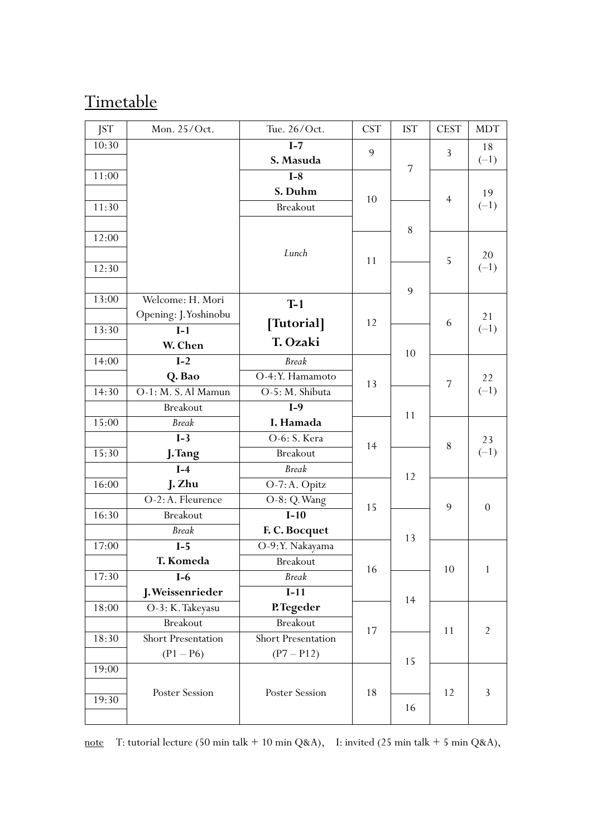#### **Timetable**

| <b>JST</b> | Mon. 25/Oct.              | Tue. 26/Oct.       | <b>CST</b> | <b>IST</b>     | <b>CEST</b>    | <b>MDT</b>       |
|------------|---------------------------|--------------------|------------|----------------|----------------|------------------|
| 10:30      |                           | $I-7$              | 9          |                | 3              | 18               |
|            |                           | S. Masuda          |            | $\overline{7}$ |                | $(-1)$           |
| 11:00      |                           | $I-8$              |            |                |                |                  |
|            |                           | S. Duhm            | 10         |                | $\overline{4}$ | 19               |
| 11:30      |                           | <b>Breakout</b>    |            |                |                | $(-1)$           |
|            |                           |                    |            | 8              |                |                  |
| 12:00      |                           |                    |            |                |                |                  |
|            |                           | Lunch              | 11         |                | 5              | 20               |
| 12:30      |                           |                    |            |                |                | $(-1)$           |
|            |                           |                    |            | 9              |                |                  |
| 13:00      | Welcome: H. Mori          | $T-1$              |            |                |                |                  |
|            | Opening: J. Yoshinobu     | [Tutorial]         | 12         |                | 6              | 21               |
| 13:30      | $I-1$                     |                    |            |                |                | $(-1)$           |
|            | W. Chen                   | T. Ozaki           |            | 10             |                |                  |
| 14:00      | $I-2$                     | <b>Break</b>       |            |                |                |                  |
|            | Q. Bao                    | O-4: Y. Hamamoto   | 13         |                | 7              | 22               |
| 14:30      | O-1: M. S. Al Mamun       | O-5: M. Shibuta    |            |                |                | $(-1)$           |
|            | <b>Breakout</b>           | $I-9$              |            | 11             |                |                  |
| 15:00      | <b>Break</b>              | I. Hamada          |            |                |                |                  |
|            | $\overline{I-3}$          | O-6: S. Kera       | 14         |                | 8              | 23               |
| 15:30      | J. Tang                   | <b>Breakout</b>    |            |                |                | $(-1)$           |
|            | $I-4$                     | <b>Break</b>       |            | 12             |                |                  |
| 16:00      | J. Zhu                    | O-7: A. Opitz      |            |                |                |                  |
|            | O-2: A. Fleurence         | O-8: Q. Wang       | 15         |                | 9              | $\boldsymbol{0}$ |
| 16:30      | <b>Breakout</b>           | $I-10$             |            |                |                |                  |
|            | <b>Break</b>              | F. C. Bocquet      |            | 13             |                |                  |
| 17:00      | $I-5$                     | O-9:Y. Nakayama    |            |                |                |                  |
|            | T. Komeda                 | <b>Breakout</b>    | 16         |                | 10             | $\mathbf{1}$     |
| 17:30      | $I-6$                     | <b>Break</b>       |            |                |                |                  |
|            | J. Weissenrieder          | $I-11$             |            | 14             |                |                  |
| 18:00      | O-3: K. Takeyasu          | P.Tegeder          |            |                |                |                  |
|            | <b>Breakout</b>           | <b>Breakout</b>    | 17         |                | 11             | $\overline{2}$   |
| 18:30      | <b>Short Presentation</b> | Short Presentation |            |                |                |                  |
|            | $(P1 - P6)$               | $(P7 - P12)$       |            | 15             |                |                  |
| 19:00      |                           |                    |            |                |                |                  |
|            | Poster Session            | Poster Session     | 18         |                | 12             | 3                |
| 19:30      |                           |                    |            | 16             |                |                  |
|            |                           |                    |            |                |                |                  |

note T: tutorial lecture (50 min talk + 10 min Q&A), I: invited (25 min talk + 5 min Q&A),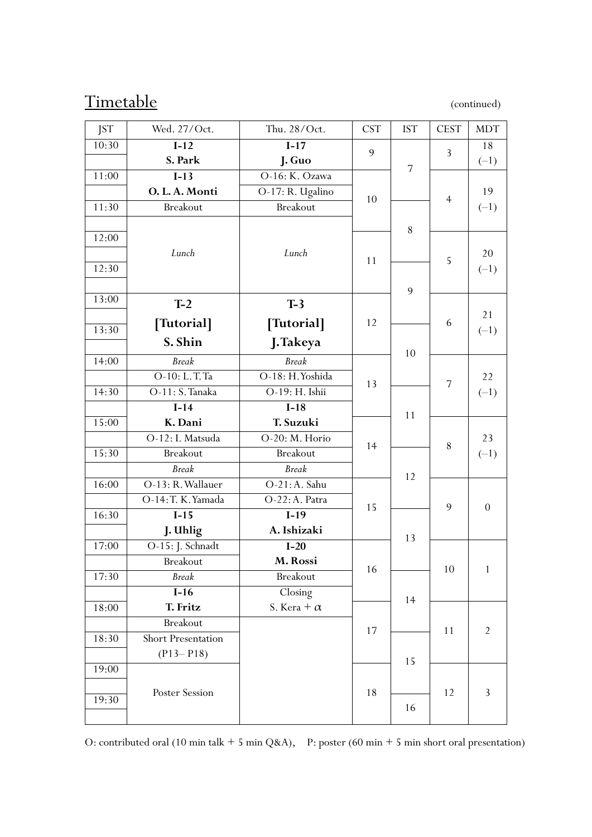#### Timetable (continued)

| <b>JST</b> | Wed. 27/Oct.       | Thu. 28/Oct.       | <b>CST</b> | <b>IST</b>     | <b>CEST</b>    | <b>MDT</b>     |
|------------|--------------------|--------------------|------------|----------------|----------------|----------------|
| 10:30      | $I-12$             | $I-17$             | 9          |                |                | 18             |
|            | S. Park            | J. Guo             |            | $\overline{7}$ | 3              | $(-1)$         |
| 11:00      | $I-13$             | O-16: K. Ozawa     |            |                |                |                |
|            | O.L.A. Monti       | O-17: R. Ugalino   | 10         |                |                | 19             |
| 11:30      | <b>Breakout</b>    | <b>Breakout</b>    |            |                | $\overline{4}$ | $(-1)$         |
|            |                    |                    |            | 8              |                |                |
| 12:00      |                    |                    |            |                |                |                |
|            | Lunch              | Lunch              | 11         |                | 5              | 20             |
| 12:30      |                    |                    |            |                |                | $(-1)$         |
|            |                    |                    |            | 9              |                |                |
| 13:00      | $T-2$              | $T-3$              |            |                |                |                |
| 13:30      | [Tutorial]         | [Tutorial]         | 12         |                | 6              | 21             |
|            | S. Shin            | J.Takeya           |            |                |                | $(-1)$         |
| 14:00      | <b>Break</b>       | <b>Break</b>       |            | 10             |                |                |
|            | O-10: L.T.Ta       | O-18: H. Yoshida   |            |                |                | 22             |
| 14:30      | O-11: S. Tanaka    | O-19: H. Ishii     | 13         |                | 7              | $(-1)$         |
|            | $I-14$             | $I-18$             |            |                |                |                |
| 15:00      | K. Dani            | T. Suzuki          |            | 11             |                |                |
|            | O-12: I. Matsuda   | O-20: M. Horio     |            |                |                | 23             |
| 15:30      | <b>Breakout</b>    | <b>Breakout</b>    | 14         |                | 8              | $(-1)$         |
|            | <b>Break</b>       | <b>Break</b>       |            |                |                |                |
| 16:00      | O-13: R. Wallauer  | $O-21$ : A. Sahu   |            | 12             |                |                |
|            | O-14: T. K. Yamada | O-22: A. Patra     |            |                |                |                |
| 16:30      | $I-15$             | $I-19$             | 15         |                | 9              | $\theta$       |
|            | J. Uhlig           | A. Ishizaki        |            |                |                |                |
| 17:00      | O-15: J. Schnadt   | $I-20$             |            | 13             |                |                |
|            | Breakout           | M. Rossi           |            |                |                |                |
| 17:30      | <b>Break</b>       | <b>Breakout</b>    | 16         |                | 10             | $\mathbf{1}$   |
|            | $I-16$             | Closing            |            |                |                |                |
| 18:00      | T. Fritz           | S. Kera + $\alpha$ |            | 14             |                |                |
|            | <b>Breakout</b>    |                    |            |                |                |                |
| 18:30      | Short Presentation |                    | 17         |                | 11             | $\overline{2}$ |
|            | $(P13 - P18)$      |                    |            |                |                |                |
| 19:00      |                    |                    |            | 15             |                |                |
|            |                    |                    |            |                |                |                |
| 19:30      | Poster Session     |                    | 18         |                | 12             | $\mathfrak{Z}$ |
|            |                    |                    |            | 16             |                |                |

O: contributed oral (10 min talk + 5 min Q&A), P: poster (60 min + 5 min short oral presentation)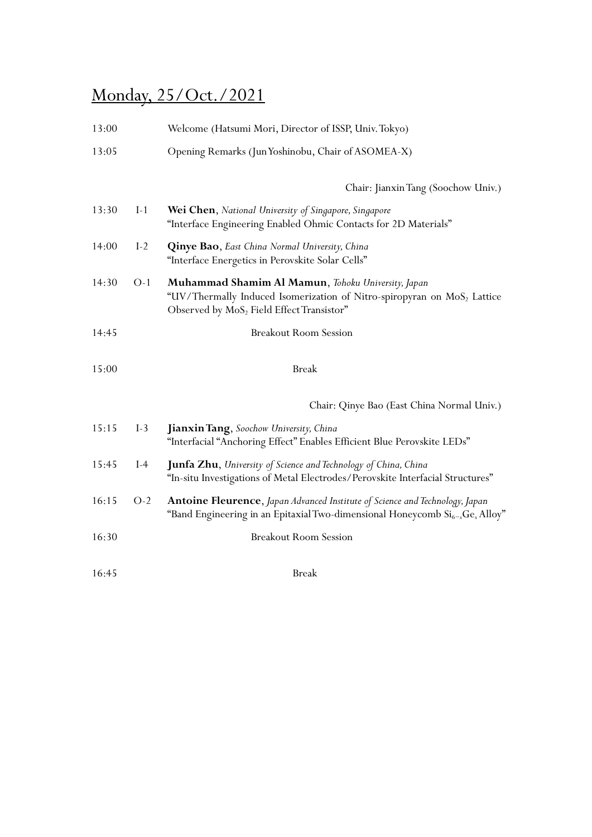## Monday, 25/Oct./2021

| 13:00 |       | Welcome (Hatsumi Mori, Director of ISSP, Univ. Tokyo)                                                                                                                                              |
|-------|-------|----------------------------------------------------------------------------------------------------------------------------------------------------------------------------------------------------|
| 13:05 |       | Opening Remarks (Jun Yoshinobu, Chair of ASOMEA-X)                                                                                                                                                 |
|       |       | Chair: Jianxin Tang (Soochow Univ.)                                                                                                                                                                |
| 13:30 | $I-1$ | Wei Chen, National University of Singapore, Singapore<br>"Interface Engineering Enabled Ohmic Contacts for 2D Materials"                                                                           |
| 14:00 | $I-2$ | Qinye Bao, East China Normal University, China<br>"Interface Energetics in Perovskite Solar Cells"                                                                                                 |
| 14:30 | $O-1$ | Muhammad Shamim Al Mamun, Tohoku University, Japan<br>"UV/Thermally Induced Isomerization of Nitro-spiropyran on MoS <sub>2</sub> Lattice<br>Observed by MoS <sub>2</sub> Field Effect Transistor" |
| 14:45 |       | <b>Breakout Room Session</b>                                                                                                                                                                       |
| 15:00 |       | <b>Break</b>                                                                                                                                                                                       |
|       |       | Chair: Qinye Bao (East China Normal Univ.)                                                                                                                                                         |
| 15:15 | $I-3$ | Jianxin Tang, Soochow University, China<br>"Interfacial "Anchoring Effect" Enables Efficient Blue Perovskite LEDs"                                                                                 |
| 15:45 | $I-4$ | Junfa Zhu, University of Science and Technology of China, China<br>"In-situ Investigations of Metal Electrodes/Perovskite Interfacial Structures"                                                  |
| 16:15 | $O-2$ | Antoine Fleurence, Japan Advanced Institute of Science and Technology, Japan<br>"Band Engineering in an Epitaxial Two-dimensional Honeycomb $\text{Si}_{6-x}\text{Ge}_{x}\text{Alloy}$ "           |
| 16:30 |       | <b>Breakout Room Session</b>                                                                                                                                                                       |
| 16:45 |       | <b>Break</b>                                                                                                                                                                                       |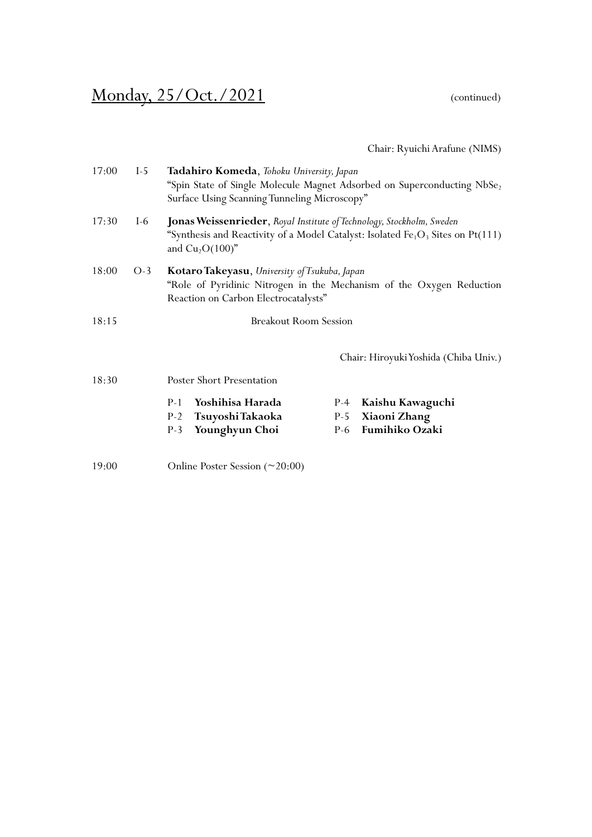### Monday, 25/Oct./2021 (continued)

Chair: Ryuichi Arafune (NIMS)

| 17:00 | $I-5$ | Tadahiro Komeda, Tohoku University, Japan                                                  |       | "Spin State of Single Molecule Magnet Adsorbed on Superconducting NbSe <sub>2</sub> |
|-------|-------|--------------------------------------------------------------------------------------------|-------|-------------------------------------------------------------------------------------|
|       |       | Surface Using Scanning Tunneling Microscopy"                                               |       |                                                                                     |
| 17:30 | I-6   | Jonas Weissenrieder, Royal Institute of Technology, Stockholm, Sweden<br>and $Cu2O(100)$ " |       | "Synthesis and Reactivity of a Model Catalyst: Isolated $Fe1O3$ Sites on Pt(111)    |
| 18:00 | $O-3$ | Kotaro Takeyasu, University of Tsukuba, Japan<br>Reaction on Carbon Electrocatalysts"      |       | "Role of Pyridinic Nitrogen in the Mechanism of the Oxygen Reduction                |
| 18:15 |       | <b>Breakout Room Session</b>                                                               |       |                                                                                     |
|       |       |                                                                                            |       | Chair: Hiroyuki Yoshida (Chiba Univ.)                                               |
| 18:30 |       | Poster Short Presentation                                                                  |       |                                                                                     |
|       |       | Yoshihisa Harada<br>$P-1$                                                                  | $P-4$ | Kaishu Kawaguchi                                                                    |
|       |       | Tsuyoshi Takaoka<br>$P-2$                                                                  | $P-5$ | Xiaoni Zhang                                                                        |
|       |       | Younghyun Choi<br>$P-3$                                                                    | P-6   | Fumihiko Ozaki                                                                      |
| 19:00 |       | Online Poster Session (~20:00)                                                             |       |                                                                                     |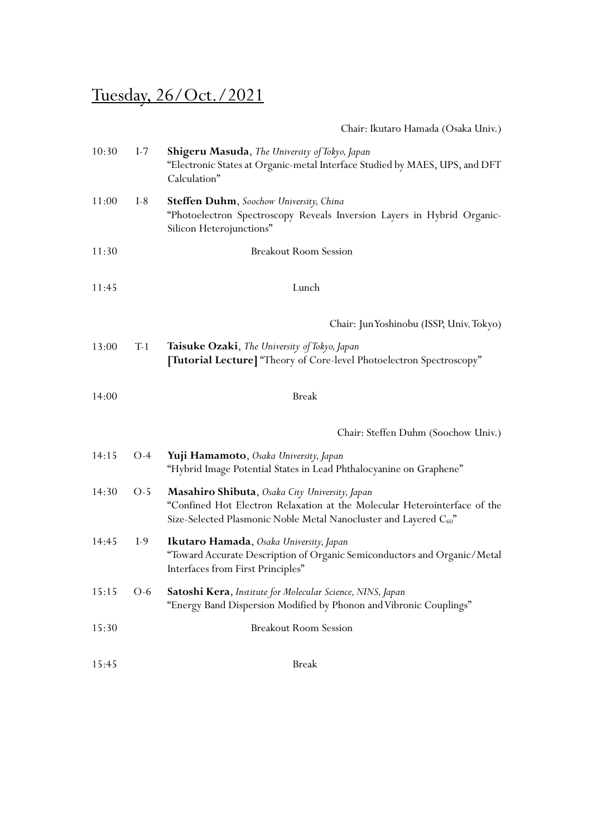# Tuesday, 26/Oct./2021

| Chair: Ikutaro Hamada (Osaka Univ.) |  |
|-------------------------------------|--|
|                                     |  |

| 10:30 | $I-7$ | Shigeru Masuda, The University of Tokyo, Japan<br>"Electronic States at Organic-metal Interface Studied by MAES, UPS, and DFT<br>Calculation"                                                                 |
|-------|-------|---------------------------------------------------------------------------------------------------------------------------------------------------------------------------------------------------------------|
| 11:00 | $I-8$ | Steffen Duhm, Soochow University, China<br>"Photoelectron Spectroscopy Reveals Inversion Layers in Hybrid Organic-<br>Silicon Heterojunctions"                                                                |
| 11:30 |       | <b>Breakout Room Session</b>                                                                                                                                                                                  |
| 11:45 |       | Lunch                                                                                                                                                                                                         |
|       |       | Chair: Jun Yoshinobu (ISSP, Univ. Tokyo)                                                                                                                                                                      |
| 13:00 | $T-1$ | Taisuke Ozaki, The University of Tokyo, Japan<br><b>[Tutorial Lecture]</b> "Theory of Core-level Photoelectron Spectroscopy"                                                                                  |
| 14:00 |       | <b>Break</b>                                                                                                                                                                                                  |
|       |       | Chair: Steffen Duhm (Soochow Univ.)                                                                                                                                                                           |
| 14:15 | $O-4$ | Yuji Hamamoto, Osaka University, Japan<br>"Hybrid Image Potential States in Lead Phthalocyanine on Graphene"                                                                                                  |
| 14:30 | $O-5$ | <b>Masahiro Shibuta</b> , Osaka City University, Japan<br>"Confined Hot Electron Relaxation at the Molecular Heterointerface of the<br>Size-Selected Plasmonic Noble Metal Nanocluster and Layered $C_{60}$ " |
| 14:45 | $I-9$ | Ikutaro Hamada, Osaka University, Japan<br>"Toward Accurate Description of Organic Semiconductors and Organic/Metal<br>Interfaces from First Principles"                                                      |
| 15:15 | $O-6$ | Satoshi Kera, Institute for Molecular Science, NINS, Japan<br>"Energy Band Dispersion Modified by Phonon and Vibronic Couplings"                                                                              |
| 15:30 |       | <b>Breakout Room Session</b>                                                                                                                                                                                  |
| 15:45 |       | <b>Break</b>                                                                                                                                                                                                  |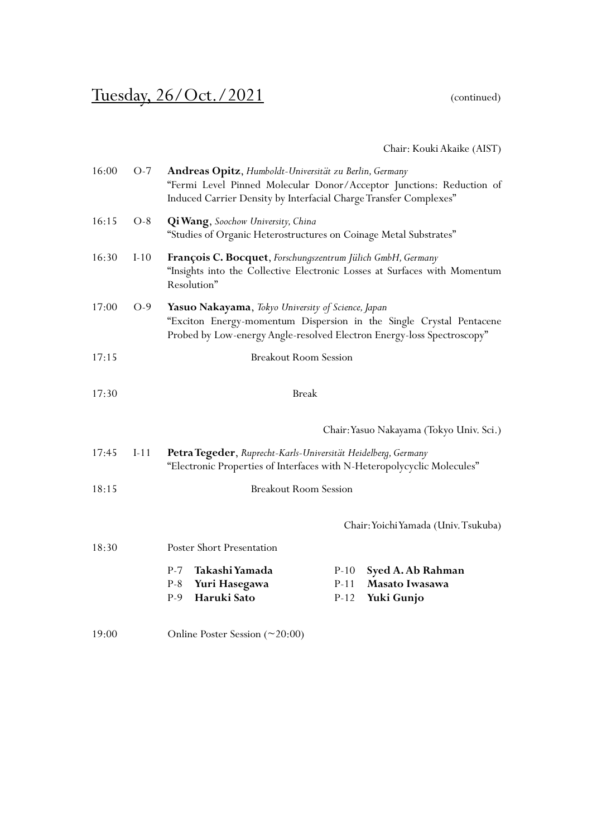## Tuesday, 26/Oct./2021 (continued)

Chair: Kouki Akaike (AIST)

| 16:00 | $O-7$  | Andreas Opitz, Humboldt-Universität zu Berlin, Germany<br>"Fermi Level Pinned Molecular Donor/Acceptor Junctions: Reduction of<br>Induced Carrier Density by Interfacial Charge Transfer Complexes"         |        |                                          |
|-------|--------|-------------------------------------------------------------------------------------------------------------------------------------------------------------------------------------------------------------|--------|------------------------------------------|
| 16:15 | $O-8$  | <b>Qi Wang</b> , Soochow University, China<br>"Studies of Organic Heterostructures on Coinage Metal Substrates"                                                                                             |        |                                          |
| 16:30 | $I-10$ | François C. Bocquet, Forschungszentrum Jülich GmbH, Germany<br>"Insights into the Collective Electronic Losses at Surfaces with Momentum<br>Resolution"                                                     |        |                                          |
| 17:00 | $O-9$  | <b>Yasuo Nakayama</b> , Tokyo University of Science, Japan<br>"Exciton Energy-momentum Dispersion in the Single Crystal Pentacene<br>Probed by Low-energy Angle-resolved Electron Energy-loss Spectroscopy" |        |                                          |
| 17:15 |        | <b>Breakout Room Session</b>                                                                                                                                                                                |        |                                          |
| 17:30 |        | <b>Break</b>                                                                                                                                                                                                |        |                                          |
|       |        |                                                                                                                                                                                                             |        | Chair: Yasuo Nakayama (Tokyo Univ. Sci.) |
| 17:45 | $I-11$ | Petra Tegeder, Ruprecht-Karls-Universität Heidelberg, Germany<br>"Electronic Properties of Interfaces with N-Heteropolycyclic Molecules"                                                                    |        |                                          |
| 18:15 |        | <b>Breakout Room Session</b>                                                                                                                                                                                |        |                                          |
|       |        |                                                                                                                                                                                                             |        | Chair: Yoichi Yamada (Univ. Tsukuba)     |
| 18:30 |        | Poster Short Presentation                                                                                                                                                                                   |        |                                          |
|       |        | $P-7$<br>Takashi Yamada                                                                                                                                                                                     | $P-10$ | Syed A. Ab Rahman                        |
|       |        | $P-8$<br>Yuri Hasegawa                                                                                                                                                                                      | $P-11$ | Masato Iwasawa                           |
|       |        | $P-9$<br>Haruki Sato                                                                                                                                                                                        | $P-12$ | Yuki Gunjo                               |
| 19:00 |        | Online Poster Session $(\sim 20:00)$                                                                                                                                                                        |        |                                          |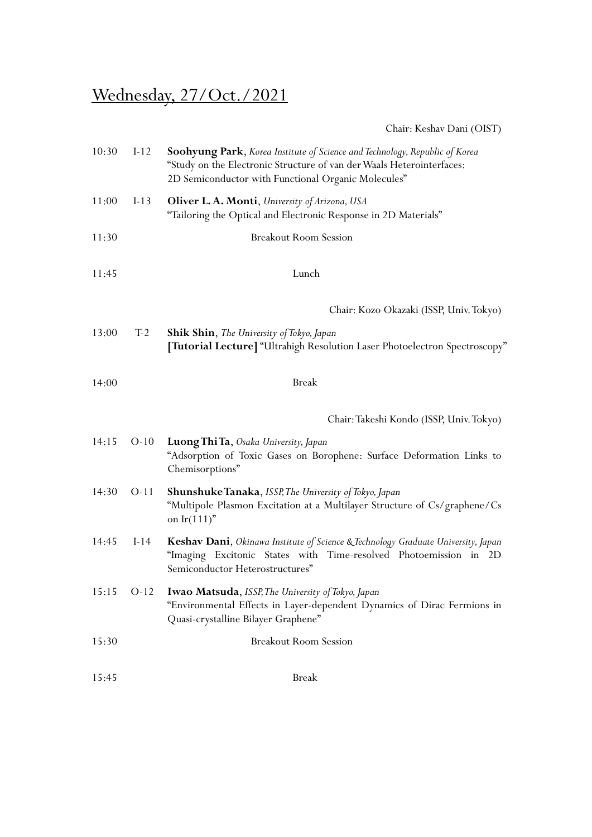## Wednesday, 27/Oct./2021

Chair: Keshav Dani (OIST)

| 10:30 | $I-12$ | Soohyung Park, Korea Institute of Science and Technology, Republic of Korea<br>"Study on the Electronic Structure of van der Waals Heterointerfaces:<br>2D Semiconductor with Functional Organic Molecules" |
|-------|--------|-------------------------------------------------------------------------------------------------------------------------------------------------------------------------------------------------------------|
| 11:00 | $I-13$ | <b>Oliver L. A. Monti</b> , University of Arizona, USA<br>"Tailoring the Optical and Electronic Response in 2D Materials"                                                                                   |
| 11:30 |        | <b>Breakout Room Session</b>                                                                                                                                                                                |
| 11:45 |        | Lunch                                                                                                                                                                                                       |
|       |        | Chair: Kozo Okazaki (ISSP, Univ. Tokyo)                                                                                                                                                                     |
| 13:00 | $T-2$  | <b>Shik Shin,</b> The University of Tokyo, Japan<br>[Tutorial Lecture] "Ultrahigh Resolution Laser Photoelectron Spectroscopy"                                                                              |
| 14:00 |        | <b>Break</b>                                                                                                                                                                                                |
|       |        | Chair: Takeshi Kondo (ISSP, Univ. Tokyo)                                                                                                                                                                    |
| 14:15 | $O-10$ | Luong Thi Ta, Osaka University, Japan<br>"Adsorption of Toxic Gases on Borophene: Surface Deformation Links to<br>Chemisorptions"                                                                           |
| 14:30 | $O-11$ | <b>Shunshuke Tanaka</b> , ISSP, The University of Tokyo, Japan<br>"Multipole Plasmon Excitation at a Multilayer Structure of Cs/graphene/Cs<br>on $Ir(111)$ "                                               |
| 14:45 | $I-14$ | Keshav Dani, Okinawa Institute of Science & Technology Graduate University, Japan<br>"Imaging Excitonic States with Time-resolved Photoemission in 2D<br>Semiconductor Heterostructures"                    |
|       |        | 15:15 O-12 Iwao Matsuda, ISSP, The University of Tokyo, Japan<br>"Environmental Effects in Layer-dependent Dynamics of Dirac Fermions in<br>Quasi-crystalline Bilayer Graphene"                             |
| 15:30 |        | <b>Breakout Room Session</b>                                                                                                                                                                                |
| 15:45 |        | <b>Break</b>                                                                                                                                                                                                |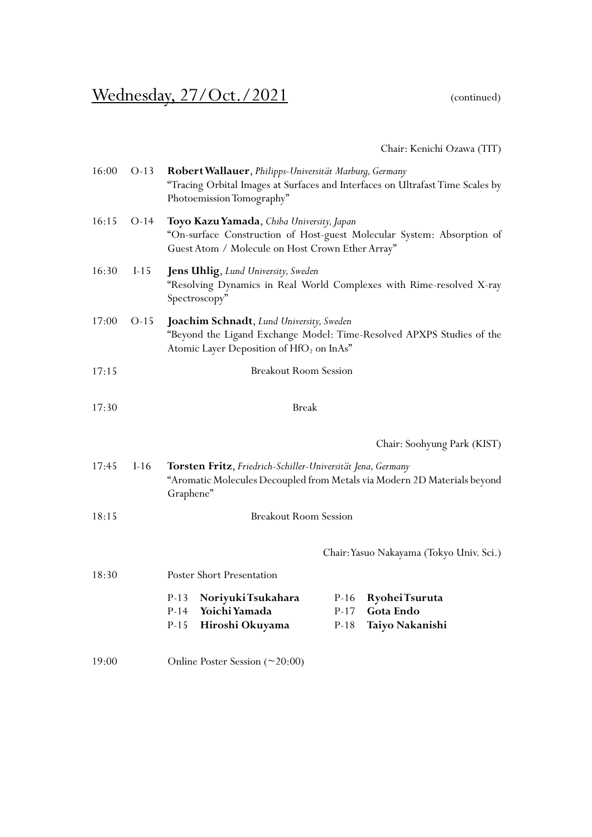# Wednesday, 27/Oct./2021 (continued)

Chair: Kenichi Ozawa (TIT)

| 16:00 | $O-13$ | Robert Wallauer, Philipps-Universität Marburg, Germany<br>"Tracing Orbital Images at Surfaces and Interfaces on Ultrafast Time Scales by<br>Photoemission Tomography"     |
|-------|--------|---------------------------------------------------------------------------------------------------------------------------------------------------------------------------|
| 16:15 | $O-14$ | Toyo Kazu Yamada, Chiba University, Japan<br>"On-surface Construction of Host-guest Molecular System: Absorption of<br>Guest Atom / Molecule on Host Crown Ether Array"   |
| 16:30 | $I-15$ | Jens Uhlig, Lund University, Sweden<br>"Resolving Dynamics in Real World Complexes with Rime-resolved X-ray<br>Spectroscopy"                                              |
| 17:00 | $O-15$ | Joachim Schnadt, Lund University, Sweden<br>"Beyond the Ligand Exchange Model: Time-Resolved APXPS Studies of the<br>Atomic Layer Deposition of HfO <sub>2</sub> on InAs" |
| 17:15 |        | <b>Breakout Room Session</b>                                                                                                                                              |
| 17:30 |        | <b>Break</b>                                                                                                                                                              |
|       |        | Chair: Soohyung Park (KIST)                                                                                                                                               |
| 17:45 | $I-16$ | Torsten Fritz, Friedrich-Schiller-Universität Jena, Germany<br>"Aromatic Molecules Decoupled from Metals via Modern 2D Materials beyond<br>Graphene"                      |
| 18:15 |        | <b>Breakout Room Session</b>                                                                                                                                              |
|       |        | Chair: Yasuo Nakayama (Tokyo Univ. Sci.)                                                                                                                                  |
| 18:30 |        | Poster Short Presentation                                                                                                                                                 |
|       |        | $P-13$<br>Noriyuki Tsukahara<br>$P-16$<br>Ryohei Tsuruta<br>Yoichi Yamada<br>$P-14$<br>$P-17$<br>Gota Endo<br>$P-15$<br>$P-18$<br>Hiroshi Okuyama<br>Taiyo Nakanishi      |
| 19:00 |        | Online Poster Session $(\sim 20:00)$                                                                                                                                      |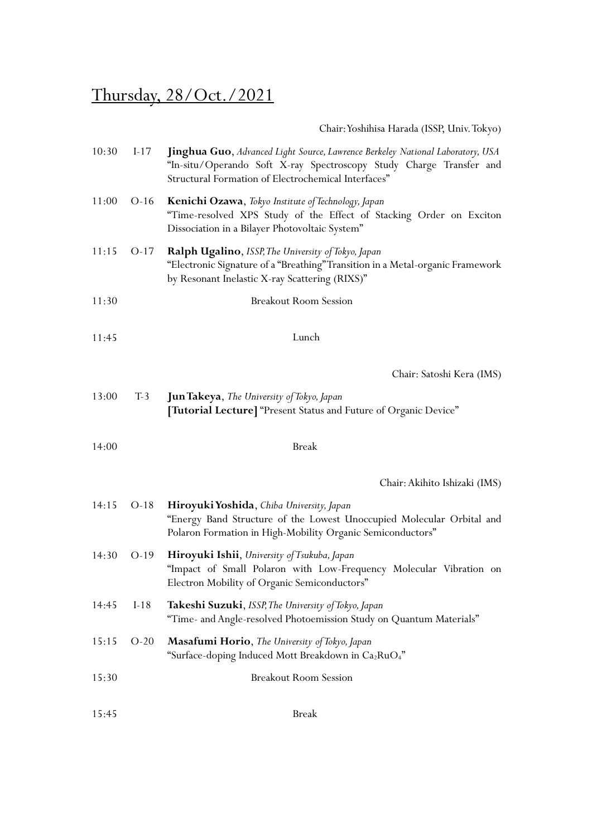# Thursday, 28/Oct./2021

Chair: Yoshihisa Harada (ISSP, Univ.Tokyo)

| 10:30 | $I-17$ | Jinghua Guo, Advanced Light Source, Lawrence Berkeley National Laboratory, USA<br>"In-situ/Operando Soft X-ray Spectroscopy Study Charge Transfer and<br>Structural Formation of Electrochemical Interfaces" |
|-------|--------|--------------------------------------------------------------------------------------------------------------------------------------------------------------------------------------------------------------|
| 11:00 | $O-16$ | Kenichi Ozawa, Tokyo Institute of Technology, Japan<br>"Time-resolved XPS Study of the Effect of Stacking Order on Exciton<br>Dissociation in a Bilayer Photovoltaic System"                                 |
| 11:15 | $O-17$ | Ralph Ugalino, ISSP, The University of Tokyo, Japan<br>"Electronic Signature of a "Breathing" Transition in a Metal-organic Framework<br>by Resonant Inelastic X-ray Scattering (RIXS)"                      |
| 11:30 |        | <b>Breakout Room Session</b>                                                                                                                                                                                 |
| 11:45 |        | Lunch                                                                                                                                                                                                        |
|       |        | Chair: Satoshi Kera (IMS)                                                                                                                                                                                    |
| 13:00 | $T-3$  | <b>Jun Takeya</b> , The University of Tokyo, Japan<br>[Tutorial Lecture] "Present Status and Future of Organic Device"                                                                                       |
| 14:00 |        | <b>Break</b>                                                                                                                                                                                                 |
|       |        | Chair: Akihito Ishizaki (IMS)                                                                                                                                                                                |
| 14:15 | $O-18$ | Hiroyuki Yoshida, Chiba University, Japan<br>"Energy Band Structure of the Lowest Unoccupied Molecular Orbital and<br>Polaron Formation in High-Mobility Organic Semiconductors"                             |
| 14:30 | $O-19$ | Hiroyuki Ishii, University of Tsukuba, Japan<br>"Impact of Small Polaron with Low-Frequency Molecular Vibration on<br>Electron Mobility of Organic Semiconductors"                                           |
| 14:45 | $I-18$ | Takeshi Suzuki, ISSP, The University of Tokyo, Japan<br>"Time- and Angle-resolved Photoemission Study on Quantum Materials"                                                                                  |
| 15:15 | $O-20$ | Masafumi Horio, The University of Tokyo, Japan<br>"Surface-doping Induced Mott Breakdown in Ca <sub>2</sub> RuO <sub>4</sub> "                                                                               |
| 15:30 |        | <b>Breakout Room Session</b>                                                                                                                                                                                 |
| 15:45 |        | <b>Break</b>                                                                                                                                                                                                 |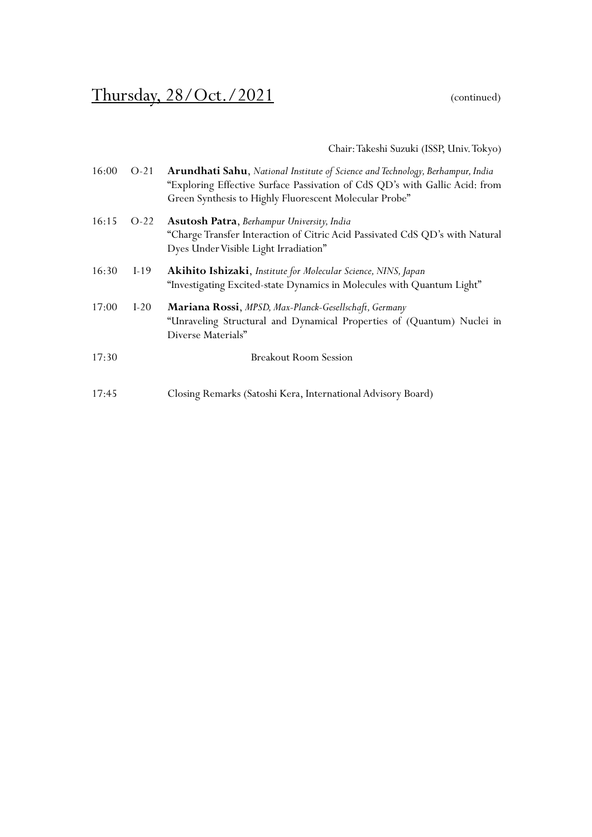#### Thursday,  $28/Oct.$  / 2021 (continued)

Chair: Takeshi Suzuki (ISSP, Univ.Tokyo)

| 16:00 | $O-21$ | Arundhati Sahu, National Institute of Science and Technology, Berhampur, India<br>"Exploring Effective Surface Passivation of CdS QD's with Gallic Acid: from<br>Green Synthesis to Highly Fluorescent Molecular Probe" |
|-------|--------|-------------------------------------------------------------------------------------------------------------------------------------------------------------------------------------------------------------------------|
| 16:15 | $O-22$ | Asutosh Patra, Berhampur University, India<br>"Charge Transfer Interaction of Citric Acid Passivated CdS QD's with Natural<br>Dyes Under Visible Light Irradiation"                                                     |
| 16:30 | $I-19$ | Akihito Ishizaki, Institute for Molecular Science, NINS, Japan<br>"Investigating Excited-state Dynamics in Molecules with Quantum Light"                                                                                |
| 17:00 | $I-20$ | Mariana Rossi, MPSD, Max-Planck-Gesellschaft, Germany<br>"Unraveling Structural and Dynamical Properties of (Quantum) Nuclei in<br>Diverse Materials"                                                                   |
| 17:30 |        | <b>Breakout Room Session</b>                                                                                                                                                                                            |
| 17:45 |        | Closing Remarks (Satoshi Kera, International Advisory Board)                                                                                                                                                            |